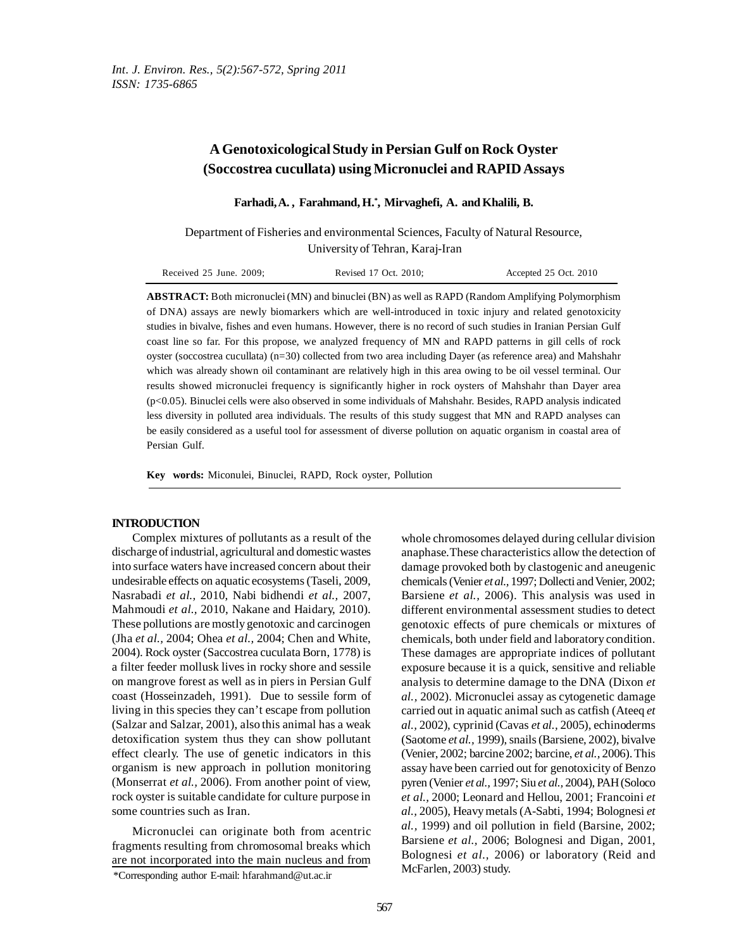# **A Genotoxicological Study in Persian Gulf on Rock Oyster (Soccostrea cucullata) using Micronuclei and RAPID Assays**

**Farhadi, A. , Farahmand, H.\* , Mirvaghefi, A. and Khalili, B.**

Department of Fisheries and environmental Sciences, Faculty of Natural Resource, University of Tehran, Karaj-Iran

| Received 25 June. 2009; | Revised 17 Oct. 2010; | Accepted 25 Oct. 2010 |
|-------------------------|-----------------------|-----------------------|
|                         |                       |                       |

**ABSTRACT:** Both micronuclei (MN) and binuclei (BN) as well as RAPD (Random Amplifying Polymorphism of DNA) assays are newly biomarkers which are well-introduced in toxic injury and related genotoxicity studies in bivalve, fishes and even humans. However, there is no record of such studies in Iranian Persian Gulf coast line so far. For this propose, we analyzed frequency of MN and RAPD patterns in gill cells of rock oyster (soccostrea cucullata) (n=30) collected from two area including Dayer (as reference area) and Mahshahr which was already shown oil contaminant are relatively high in this area owing to be oil vessel terminal. Our results showed micronuclei frequency is significantly higher in rock oysters of Mahshahr than Dayer area (p<0.05). Binuclei cells were also observed in some individuals of Mahshahr. Besides, RAPD analysis indicated less diversity in polluted area individuals. The results of this study suggest that MN and RAPD analyses can be easily considered as a useful tool for assessment of diverse pollution on aquatic organism in coastal area of Persian Gulf.

**Key words:** Miconulei, Binuclei, RAPD, Rock oyster, Pollution

### **INTRODUCTION**

Complex mixtures of pollutants as a result of the discharge of industrial, agricultural and domestic wastes into surface waters have increased concern about their undesirable effects on aquatic ecosystems (Taseli, 2009, Nasrabadi *et al.,* 2010, Nabi bidhendi *et al.,* 2007, Mahmoudi *et al.,* 2010, Nakane and Haidary, 2010). These pollutions are mostly genotoxic and carcinogen (Jha *et al.,* 2004; Ohea *et al.,* 2004; Chen and White, 2004). Rock oyster (Saccostrea cuculata Born, 1778) is a filter feeder mollusk lives in rocky shore and sessile on mangrove forest as well as in piers in Persian Gulf coast (Hosseinzadeh, 1991). Due to sessile form of living in this species they can't escape from pollution (Salzar and Salzar, 2001), also this animal has a weak detoxification system thus they can show pollutant effect clearly. The use of genetic indicators in this organism is new approach in pollution monitoring (Monserrat *et al.,* 2006). From another point of view, rock oyster is suitable candidate for culture purpose in some countries such as Iran.

\*Corresponding author E-mail: hfarahmand@ut.ac.ir Micronuclei can originate both from acentric fragments resulting from chromosomal breaks which are not incorporated into the main nucleus and from whole chromosomes delayed during cellular division anaphase.These characteristics allow the detection of damage provoked both by clastogenic and aneugenic chemicals(Venier *et al.,* 1997; Dollecti and Venier, 2002; Barsiene *et al.,* 2006). This analysis was used in different environmental assessment studies to detect genotoxic effects of pure chemicals or mixtures of chemicals, both under field and laboratory condition. These damages are appropriate indices of pollutant exposure because it is a quick, sensitive and reliable analysis to determine damage to the DNA (Dixon *et al.,* 2002). Micronuclei assay as cytogenetic damage carried out in aquatic animal such as catfish (Ateeq *et al.,* 2002), cyprinid (Cavas *et al.,* 2005), echinoderms (Saotome *et al.,* 1999), snails (Barsiene, 2002), bivalve (Venier, 2002; barcine 2002; barcine, *et al.,* 2006). This assay have been carried out for genotoxicity of Benzo pyren (Venier *et al.,* 1997; Siu *et al.,* 2004), PAH (Soloco *et al.,* 2000; Leonard and Hellou, 2001; Francoini *et al.,* 2005), Heavy metals (A-Sabti, 1994; Bolognesi *et al.,* 1999) and oil pollution in field (Barsine, 2002; Barsiene *et al.,* 2006; Bolognesi and Digan, 2001, Bolognesi *et al.,* 2006) or laboratory (Reid and McFarlen, 2003) study.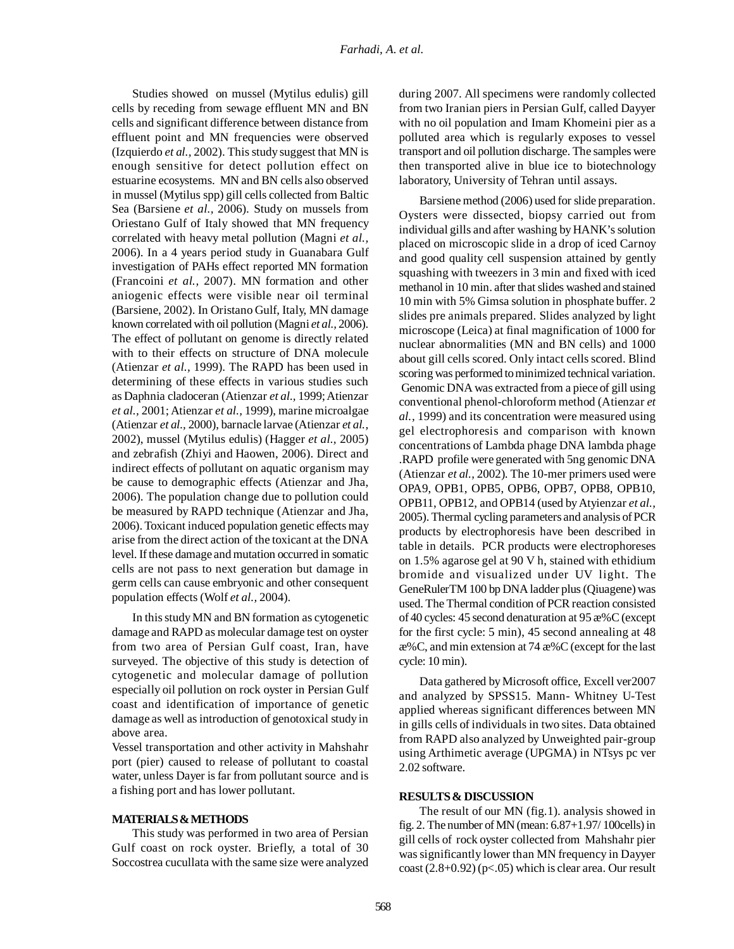Studies showed on mussel (Mytilus edulis) gill cells by receding from sewage effluent MN and BN cells and significant difference between distance from effluent point and MN frequencies were observed (Izquierdo *et al.,* 2002). This study suggest that MN is enough sensitive for detect pollution effect on estuarine ecosystems. MN and BN cells also observed in mussel (Mytilus spp) gill cells collected from Baltic Sea (Barsiene *et al.,* 2006). Study on mussels from Oriestano Gulf of Italy showed that MN frequency correlated with heavy metal pollution (Magni *et al.,* 2006). In a 4 years period study in Guanabara Gulf investigation of PAHs effect reported MN formation (Francoini *et al.,* 2007). MN formation and other aniogenic effects were visible near oil terminal (Barsiene, 2002). In Oristano Gulf, Italy, MN damage known correlated with oil pollution (Magni *et al.,* 2006). The effect of pollutant on genome is directly related with to their effects on structure of DNA molecule (Atienzar *et al.,* 1999). The RAPD has been used in determining of these effects in various studies such as Daphnia cladoceran (Atienzar *et al.,* 1999; Atienzar *et al.,* 2001; Atienzar *et al.,* 1999), marine microalgae (Atienzar *et al.,* 2000), barnacle larvae (Atienzar *et al.,* 2002), mussel (Mytilus edulis) (Hagger *et al.,* 2005) and zebrafish (Zhiyi and Haowen, 2006). Direct and indirect effects of pollutant on aquatic organism may be cause to demographic effects (Atienzar and Jha, 2006). The population change due to pollution could be measured by RAPD technique (Atienzar and Jha, 2006). Toxicant induced population genetic effects may arise from the direct action of the toxicant at the DNA level. If these damage and mutation occurred in somatic cells are not pass to next generation but damage in germ cells can cause embryonic and other consequent population effects (Wolf *et al.,* 2004).

In this study MN and BN formation as cytogenetic damage and RAPD as molecular damage test on oyster from two area of Persian Gulf coast, Iran, have surveyed. The objective of this study is detection of cytogenetic and molecular damage of pollution especially oil pollution on rock oyster in Persian Gulf coast and identification of importance of genetic damage as well as introduction of genotoxical study in above area.

Vessel transportation and other activity in Mahshahr port (pier) caused to release of pollutant to coastal water, unless Dayer is far from pollutant source and is a fishing port and has lower pollutant.

### **MATERIALS & METHODS**

This study was performed in two area of Persian Gulf coast on rock oyster. Briefly, a total of 30 Soccostrea cucullata with the same size were analyzed during 2007. All specimens were randomly collected from two Iranian piers in Persian Gulf, called Dayyer with no oil population and Imam Khomeini pier as a polluted area which is regularly exposes to vessel transport and oil pollution discharge. The samples were then transported alive in blue ice to biotechnology laboratory, University of Tehran until assays.

Barsiene method (2006) used for slide preparation. Oysters were dissected, biopsy carried out from individual gills and after washing by HANK's solution placed on microscopic slide in a drop of iced Carnoy and good quality cell suspension attained by gently squashing with tweezers in 3 min and fixed with iced methanol in 10 min. after that slides washed and stained 10 min with 5% Gimsa solution in phosphate buffer. 2 slides pre animals prepared. Slides analyzed by light microscope (Leica) at final magnification of 1000 for nuclear abnormalities (MN and BN cells) and 1000 about gill cells scored. Only intact cells scored. Blind scoring was performed to minimized technical variation. Genomic DNA was extracted from a piece of gill using conventional phenol-chloroform method (Atienzar *et al.,* 1999) and its concentration were measured using gel electrophoresis and comparison with known concentrations of Lambda phage DNA lambda phage .RAPD profile were generated with 5ng genomic DNA (Atienzar *et al.,* 2002). The 10-mer primers used were OPA9, OPB1, OPB5, OPB6, OPB7, OPB8, OPB10, OPB11, OPB12, and OPB14 (used by Atyienzar *et al.,* 2005). Thermal cycling parameters and analysis of PCR products by electrophoresis have been described in table in details. PCR products were electrophoreses on 1.5% agarose gel at 90 V h, stained with ethidium bromide and visualized under UV light. The GeneRulerTM 100 bp DNA ladder plus (Qiuagene) was used. The Thermal condition of PCR reaction consisted of 40 cycles: 45 second denaturation at 95 æ%C (except for the first cycle: 5 min), 45 second annealing at 48 æ%C, and min extension at 74 æ%C (except for the last cycle: 10 min).

Data gathered by Microsoft office, Excell ver2007 and analyzed by SPSS15. Mann- Whitney U-Test applied whereas significant differences between MN in gills cells of individuals in two sites. Data obtained from RAPD also analyzed by Unweighted pair-group using Arthimetic average (UPGMA) in NTsys pc ver 2.02 software.

## **RESULTS & DISCUSSION**

The result of our MN (fig.1). analysis showed in fig. 2. The number of MN (mean: 6.87+1.97/ 100cells) in gill cells of rock oyster collected from Mahshahr pier was significantly lower than MN frequency in Dayyer  $\cos(2.8+0.92)$  (p<.05) which is clear area. Our result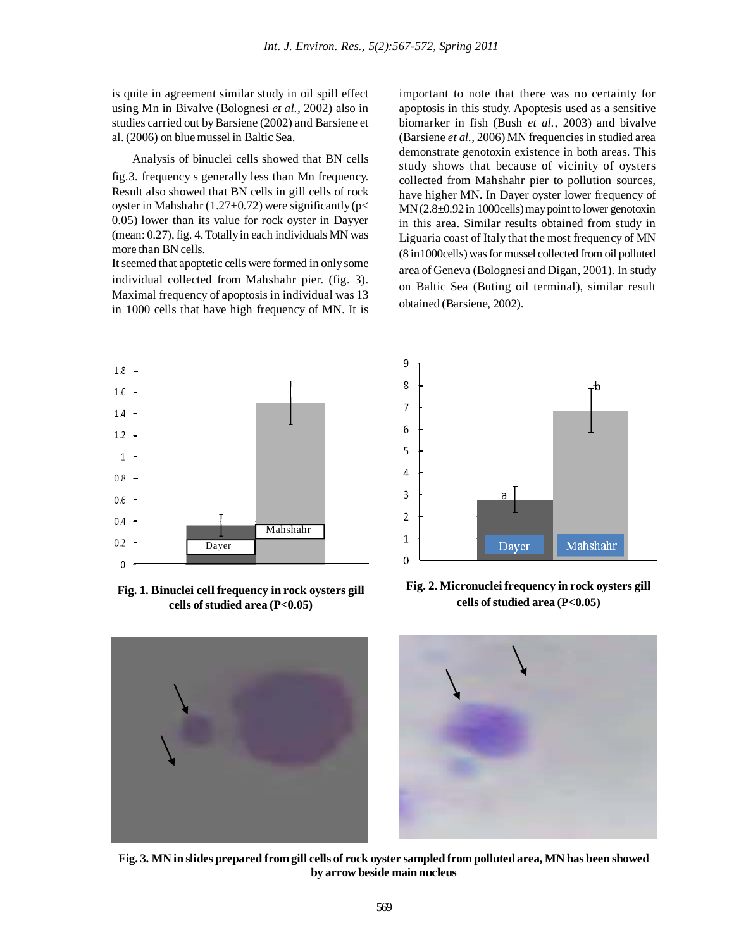9

8

is quite in agreement similar study in oil spill effect using Mn in Bivalve (Bolognesi *et al.,* 2002) also in studies carried out by Barsiene (2002) and Barsiene et al. (2006) on blue mussel in Baltic Sea.

Analysis of binuclei cells showed that BN cells fig.3. frequency s generally less than Mn frequency. Result also showed that BN cells in gill cells of rock oyster in Mahshahr (1.27+0.72) were significantly ( $p$ < 0.05) lower than its value for rock oyster in Dayyer (mean: 0.27), fig. 4. Totally in each individuals MN was more than BN cells.

It seemed that apoptetic cells were formed in only some individual collected from Mahshahr pier. (fig. 3). Maximal frequency of apoptosis in individual was 13 in 1000 cells that have high frequency of MN. It is important to note that there was no certainty for apoptosis in this study. Apoptesis used as a sensitive biomarker in fish (Bush *et al.,* 2003) and bivalve (Barsiene *et al.,* 2006) MN frequencies in studied area demonstrate genotoxin existence in both areas. This study shows that because of vicinity of oysters collected from Mahshahr pier to pollution sources, have higher MN. In Dayer oyster lower frequency of MN (2.8±0.92 in 1000cells) may point to lower genotoxin in this area. Similar results obtained from study in Liguaria coast of Italy that the most frequency of MN (8 in1000cells) was for mussel collected from oil polluted area of Geneva (Bolognesi and Digan, 2001). In study on Baltic Sea (Buting oil terminal), similar result obtained (Barsiene, 2002).



**Fig. 1. Binuclei cell frequency in rock oysters gill cells of studied area (P<0.05)**



**Fig. 2. Micronuclei frequency in rock oysters gill cells of studied area (P<0.05)**



**Fig. 3. MN in slides prepared from gill cells of rock oyster sampled from polluted area, MN has been showed by arrow beside main nucleus**

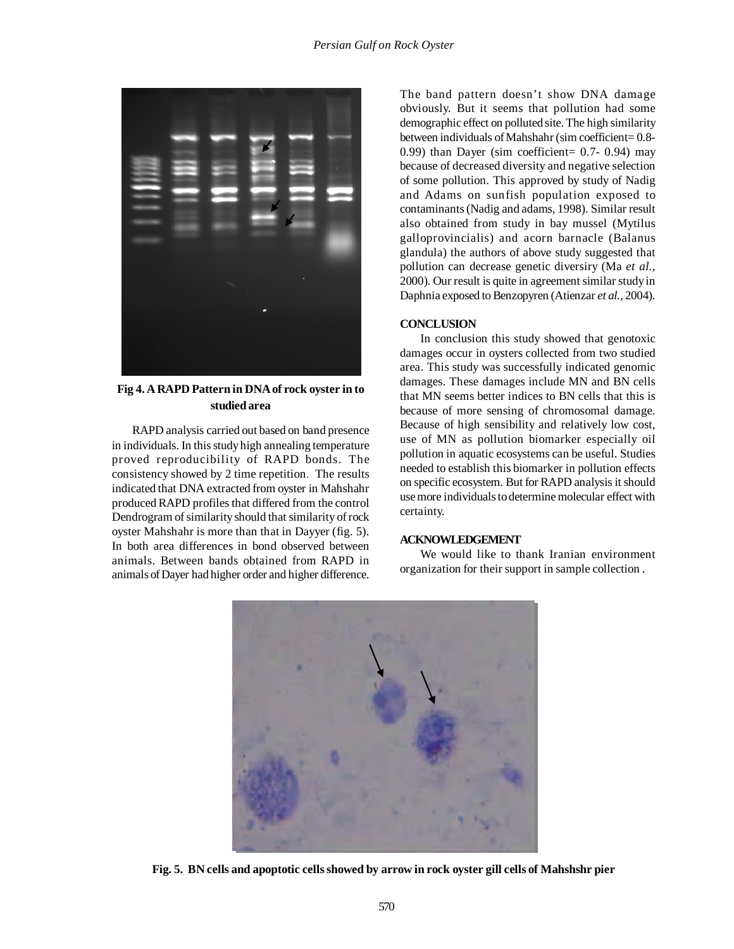

**Fig 4. A RAPD Pattern in DNA of rock oyster in to studied area**

RAPD analysis carried out based on band presence in individuals. In this study high annealing temperature proved reproducibility of RAPD bonds. The consistency showed by 2 time repetition. The results indicated that DNA extracted from oyster in Mahshahr produced RAPD profiles that differed from the control Dendrogram of similarity should that similarity of rock oyster Mahshahr is more than that in Dayyer (fig. 5). In both area differences in bond observed between animals. Between bands obtained from RAPD in animals of Dayer had higher order and higher difference.

The band pattern doesn't show DNA damage obviously. But it seems that pollution had some demographic effect on polluted site. The high similarity between individuals of Mahshahr (sim coefficient= 0.8- 0.99) than Dayer (sim coefficient= 0.7- 0.94) may because of decreased diversity and negative selection of some pollution. This approved by study of Nadig and Adams on sunfish population exposed to contaminants (Nadig and adams, 1998). Similar result also obtained from study in bay mussel (Mytilus galloprovincialis) and acorn barnacle (Balanus glandula) the authors of above study suggested that pollution can decrease genetic diversiry (Ma *et al.,* 2000). Our result is quite in agreement similar study in Daphnia exposed to Benzopyren (Atienzar *et al.,* 2004).

## **CONCLUSION**

In conclusion this study showed that genotoxic damages occur in oysters collected from two studied area. This study was successfully indicated genomic damages. These damages include MN and BN cells that MN seems better indices to BN cells that this is because of more sensing of chromosomal damage. Because of high sensibility and relatively low cost, use of MN as pollution biomarker especially oil pollution in aquatic ecosystems can be useful. Studies needed to establish this biomarker in pollution effects on specific ecosystem. But for RAPD analysis it should use more individuals to determine molecular effect with certainty.

## **ACKNOWLEDGEMENT**

We would like to thank Iranian environment organization for their support in sample collection .



**Fig. 5. BN cells and apoptotic cells showed by arrow in rock oyster gill cells of Mahshshr pier**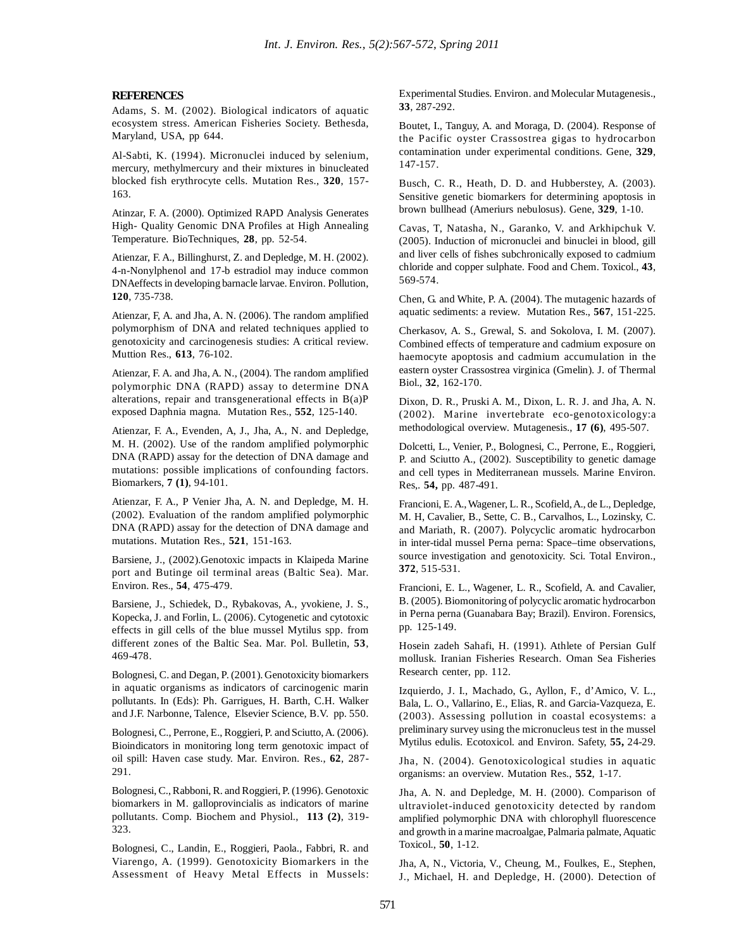### **REFERENCES**

Adams, S. M. (2002). Biological indicators of aquatic ecosystem stress. American Fisheries Society. Bethesda, Maryland, USA, pp 644.

Al-Sabti, K. (1994). Micronuclei induced by selenium, mercury, methylmercury and their mixtures in binucleated blocked fish erythrocyte cells. Mutation Res., **320**, 157- 163.

Atinzar, F. A. (2000). Optimized RAPD Analysis Generates High- Quality Genomic DNA Profiles at High Annealing Temperature. BioTechniques, **28**, pp. 52-54.

Atienzar, F. A., Billinghurst, Z. and Depledge, M. H. (2002). 4-n-Nonylphenol and 17-b estradiol may induce common DNAeffects in developing barnacle larvae. Environ. Pollution, **120**, 735-738.

Atienzar, F, A. and Jha, A. N. (2006). The random amplified polymorphism of DNA and related techniques applied to genotoxicity and carcinogenesis studies: A critical review. Muttion Res., **613**, 76-102.

Atienzar, F. A. and Jha, A. N., (2004). The random amplified polymorphic DNA (RAPD) assay to determine DNA alterations, repair and transgenerational effects in B(a)P exposed Daphnia magna. Mutation Res., **552**, 125-140.

Atienzar, F. A., Evenden, A, J., Jha, A., N. and Depledge, M. H. (2002). Use of the random amplified polymorphic DNA (RAPD) assay for the detection of DNA damage and mutations: possible implications of confounding factors. Biomarkers, **7 (1)**, 94-101.

Atienzar, F. A., P Venier Jha, A. N. and Depledge, M. H. (2002). Evaluation of the random amplified polymorphic DNA (RAPD) assay for the detection of DNA damage and mutations. Mutation Res., **521**, 151-163.

Barsiene, J., (2002).Genotoxic impacts in Klaipeda Marine port and Butinge oil terminal areas (Baltic Sea). Mar. Environ. Res., **54**, 475-479.

Barsiene, J., Schiedek, D., Rybakovas, A., yvokiene, J. S., Kopecka, J. and Forlin, L. (2006). Cytogenetic and cytotoxic effects in gill cells of the blue mussel Mytilus spp. from different zones of the Baltic Sea. Mar. Pol. Bulletin, **53**, 469-478.

Bolognesi, C. and Degan, P. (2001). Genotoxicity biomarkers in aquatic organisms as indicators of carcinogenic marin pollutants. In (Eds): Ph. Garrigues, H. Barth, C.H. Walker and J.F. Narbonne, Talence, Elsevier Science, B.V. pp. 550.

Bolognesi, C., Perrone, E., Roggieri, P. and Sciutto, A. (2006). Bioindicators in monitoring long term genotoxic impact of oil spill: Haven case study. Mar. Environ. Res., **62**, 287- 291.

Bolognesi, C., Rabboni, R. and Roggieri, P. (1996). Genotoxic biomarkers in M. galloprovincialis as indicators of marine pollutants. Comp. Biochem and Physiol., **113 (2)**, 319- 323.

Bolognesi, C., Landin, E., Roggieri, Paola., Fabbri, R. and Viarengo, A. (1999). Genotoxicity Biomarkers in the Assessment of Heavy Metal Effects in Mussels: Experimental Studies. Environ. and Molecular Mutagenesis., **33**, 287-292.

Boutet, I., Tanguy, A. and Moraga, D. (2004). Response of the Pacific oyster Crassostrea gigas to hydrocarbon contamination under experimental conditions. Gene, **329**, 147-157.

Busch, C. R., Heath, D. D. and Hubberstey, A. (2003). Sensitive genetic biomarkers for determining apoptosis in brown bullhead (Ameriurs nebulosus). Gene, **329**, 1-10.

Cavas, T, Natasha, N., Garanko, V. and Arkhipchuk V. (2005). Induction of micronuclei and binuclei in blood, gill and liver cells of fishes subchronically exposed to cadmium chloride and copper sulphate. Food and Chem. Toxicol., **43**, 569-574.

Chen, G. and White, P. A. (2004). The mutagenic hazards of aquatic sediments: a review. Mutation Res., **567**, 151-225.

Cherkasov, A. S., Grewal, S. and Sokolova, I. M. (2007). Combined effects of temperature and cadmium exposure on haemocyte apoptosis and cadmium accumulation in the eastern oyster Crassostrea virginica (Gmelin). J. of Thermal Biol., **32**, 162-170.

Dixon, D. R., Pruski A. M., Dixon, L. R. J. and Jha, A. N. (2002). Marine invertebrate eco-genotoxicology:a methodological overview. Mutagenesis., **17 (6)**, 495-507.

Dolcetti, L., Venier, P., Bolognesi, C., Perrone, E., Roggieri, P. and Sciutto A., (2002). Susceptibility to genetic damage and cell types in Mediterranean mussels. Marine Environ. Res,. **54,** pp. 487-491.

Francioni, E. A., Wagener, L. R., Scofield, A., de L., Depledge, M. H, Cavalier, B., Sette, C. B., Carvalhos, L., Lozinsky, C. and Mariath, R. (2007). Polycyclic aromatic hydrocarbon in inter-tidal mussel Perna perna: Space–time observations, source investigation and genotoxicity. Sci. Total Environ., **372**, 515-531.

Francioni, E. L., Wagener, L. R., Scofield, A. and Cavalier, B. (2005). Biomonitoring of polycyclic aromatic hydrocarbon in Perna perna (Guanabara Bay; Brazil). Environ. Forensics, pp. 125-149.

Hosein zadeh Sahafi, H. (1991). Athlete of Persian Gulf mollusk. Iranian Fisheries Research. Oman Sea Fisheries Research center, pp. 112.

Izquierdo, J. I., Machado, G., Ayllon, F., d'Amico, V. L., Bala, L. O., Vallarino, E., Elias, R. and Garcia-Vazqueza, E. (2003). Assessing pollution in coastal ecosystems: a preliminary survey using the micronucleus test in the mussel Mytilus edulis. Ecotoxicol. and Environ. Safety, **55,** 24-29.

Jha, N. (2004). Genotoxicological studies in aquatic organisms: an overview. Mutation Res., **552**, 1-17.

Jha, A. N. and Depledge, M. H. (2000). Comparison of ultraviolet-induced genotoxicity detected by random amplified polymorphic DNA with chlorophyll fluorescence and growth in a marine macroalgae, Palmaria palmate, Aquatic Toxicol., **50**, 1-12.

Jha, A, N., Victoria, V., Cheung, M., Foulkes, E., Stephen, J., Michael, H. and Depledge, H. (2000). Detection of